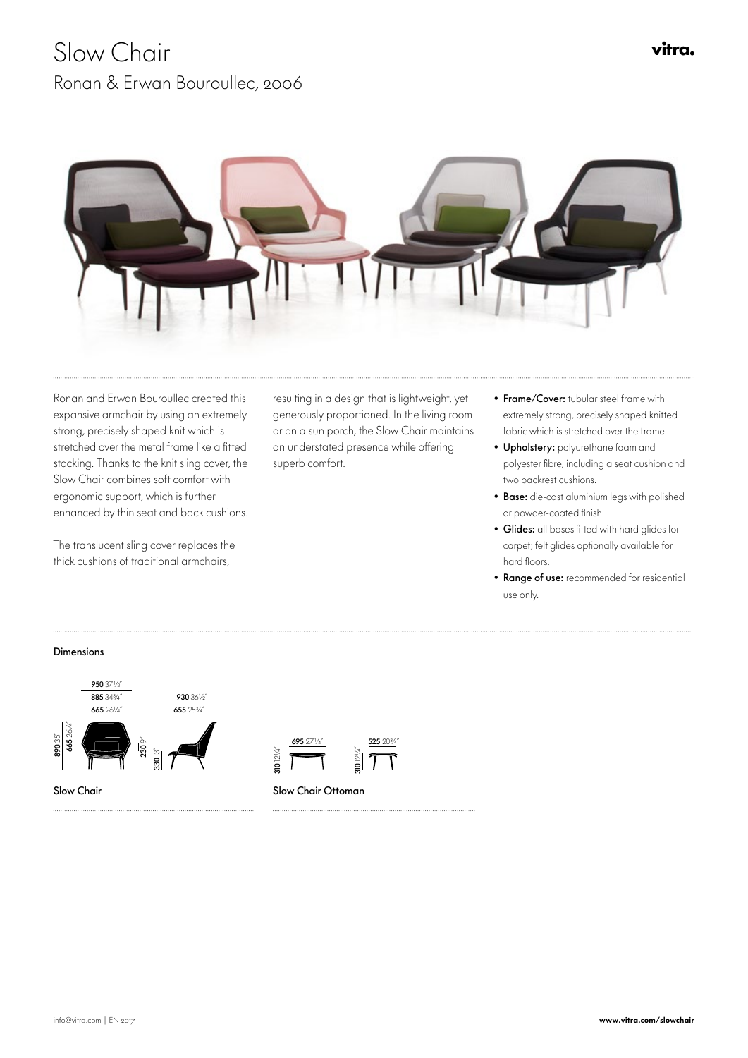## Slow Chair Ronan & Erwan Bouroullec, 2006



Ronan and Erwan Bouroullec created this expansive armchair by using an extremely strong, precisely shaped knit which is stretched over the metal frame like a fitted stocking. Thanks to the knit sling cover, the Slow Chair combines soft comfort with ergonomic support, which is further enhanced by thin seat and back cushions.

The translucent sling cover replaces the thick cushions of traditional armchairs,

resulting in a design that is lightweight, yet generously proportioned. In the living room or on a sun porch, the Slow Chair maintains an understated presence while offering superb comfort.

655 25¾"

- Frame/Cover: tubular steel frame with extremely strong, precisely shaped knitted fabric which is stretched over the frame.
- Upholstery: polyurethane foam and polyester fibre, including a seat cushion and two backrest cushions.
- Base: die-cast aluminium legs with polished or powder-coated finish.
- Glides: all bases fitted with hard glides for carpet; felt glides optionally available for hard floors.
- Range of use: recommended for residential use only.

## Dimensions







665 26¼"